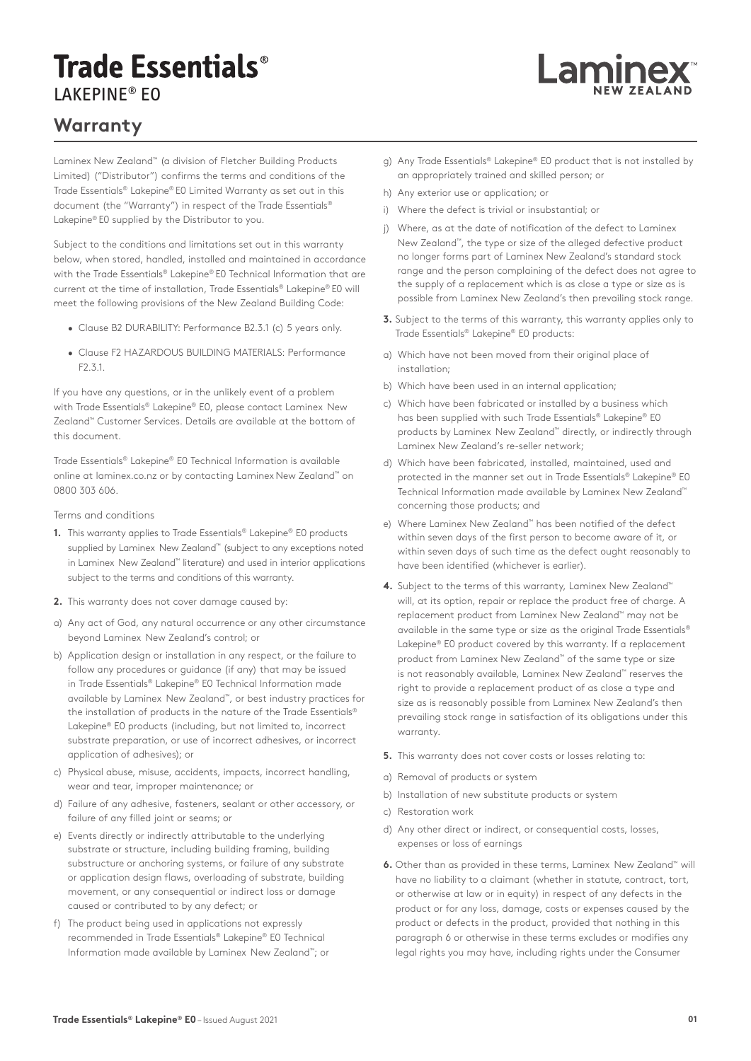## **Trade Essentials®** LAKEPINE® EO

## **Warranty**

Laminex New Zealand™ (a division of Fletcher Building Products Limited) ("Distributor") confirms the terms and conditions of the Trade Essentials® Lakepine® E0 Limited Warranty as set out in this document (the "Warranty") in respect of the Trade Essentials® Lakepine® E0 supplied by the Distributor to you.

Subject to the conditions and limitations set out in this warranty below, when stored, handled, installed and maintained in accordance with the Trade Essentials® Lakepine® E0 Technical Information that are current at the time of installation, Trade Essentials® Lakepine® E0 will meet the following provisions of the New Zealand Building Code:

- Clause B2 DURABILITY: Performance B2.3.1 (c) 5 years only.
- Clause F2 HAZARDOUS BUILDING MATERIALS: Performance F2.3.1.

If you have any questions, or in the unlikely event of a problem with Trade Essentials® Lakepine® E0, please contact Laminex New Zealand™ Customer Services. Details are available at the bottom of this document.

Trade Essentials® Lakepine® E0 Technical Information is available online at laminex.co.nz or by contacting Laminex New Zealand™ on 0800 303 606.

## Terms and conditions

- **1.** This warranty applies to Trade Essentials® Lakepine® E0 products supplied by Laminex New Zealand™ (subject to any exceptions noted in Laminex New Zealand™ literature) and used in interior applications subject to the terms and conditions of this warranty.
- **2.** This warranty does not cover damage caused by:
- a) Any act of God, any natural occurrence or any other circumstance beyond Laminex New Zealand's control; or
- b) Application design or installation in any respect, or the failure to follow any procedures or guidance (if any) that may be issued in Trade Essentials® Lakepine® E0 Technical Information made available by Laminex New Zealand™, or best industry practices for the installation of products in the nature of the Trade Essentials® Lakepine® E0 products (including, but not limited to, incorrect substrate preparation, or use of incorrect adhesives, or incorrect application of adhesives); or
- c) Physical abuse, misuse, accidents, impacts, incorrect handling, wear and tear, improper maintenance; or
- d) Failure of any adhesive, fasteners, sealant or other accessory, or failure of any filled joint or seams; or
- e) Events directly or indirectly attributable to the underlying substrate or structure, including building framing, building substructure or anchoring systems, or failure of any substrate or application design flaws, overloading of substrate, building movement, or any consequential or indirect loss or damage caused or contributed to by any defect; or
- f) The product being used in applications not expressly recommended in Trade Essentials® Lakepine® E0 Technical Information made available by Laminex New Zealand™; or

g) Any Trade Essentials® Lakepine® E0 product that is not installed by an appropriately trained and skilled person; or

Lamine

- h) Any exterior use or application; or
- i) Where the defect is trivial or insubstantial; or
- j) Where, as at the date of notification of the defect to Laminex New Zealand™, the type or size of the alleged defective product no longer forms part of Laminex New Zealand's standard stock range and the person complaining of the defect does not agree to the supply of a replacement which is as close a type or size as is possible from Laminex New Zealand's then prevailing stock range.
- **3.** Subject to the terms of this warranty, this warranty applies only to Trade Essentials® Lakepine® E0 products:
- a) Which have not been moved from their original place of installation;
- b) Which have been used in an internal application;
- c) Which have been fabricated or installed by a business which has been supplied with such Trade Essentials® Lakepine® E0 products by Laminex New Zealand™ directly, or indirectly through Laminex New Zealand's re-seller network;
- d) Which have been fabricated, installed, maintained, used and protected in the manner set out in Trade Essentials® Lakepine® E0 Technical Information made available by Laminex New Zealand™ concerning those products; and
- e) Where Laminex New Zealand™ has been notified of the defect within seven days of the first person to become aware of it, or within seven days of such time as the defect ought reasonably to have been identified (whichever is earlier).
- **4.** Subject to the terms of this warranty, Laminex New Zealand™ will, at its option, repair or replace the product free of charge. A replacement product from Laminex New Zealand™ may not be available in the same type or size as the original Trade Essentials® Lakepine® E0 product covered by this warranty. If a replacement product from Laminex New Zealand™ of the same type or size is not reasonably available, Laminex New Zealand™ reserves the right to provide a replacement product of as close a type and size as is reasonably possible from Laminex New Zealand's then prevailing stock range in satisfaction of its obligations under this warranty.
- **5.** This warranty does not cover costs or losses relating to:
- a) Removal of products or system
- b) Installation of new substitute products or system
- c) Restoration work
- d) Any other direct or indirect, or consequential costs, losses, expenses or loss of earnings
- **6.** Other than as provided in these terms, Laminex New Zealand<sup>™</sup> will have no liability to a claimant (whether in statute, contract, tort, or otherwise at law or in equity) in respect of any defects in the product or for any loss, damage, costs or expenses caused by the product or defects in the product, provided that nothing in this paragraph 6 or otherwise in these terms excludes or modifies any legal rights you may have, including rights under the Consumer